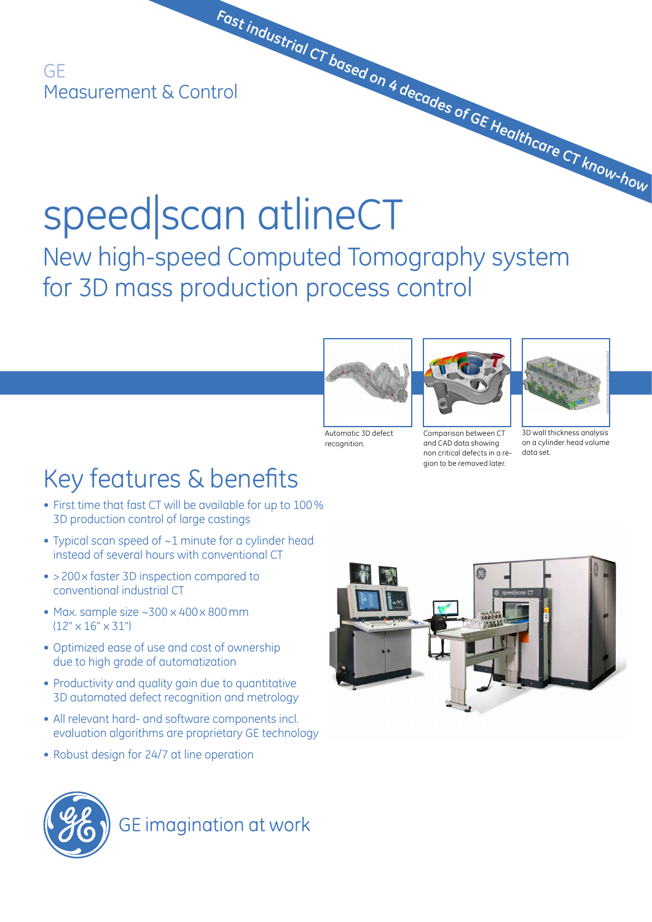GE Measurement & Control

# speed|scan atlineCT  **Fast industrial CT based on 4 decades of GE Healthcare CT know-how**

New high-speed Computed Tomography system for 3D mass production process control



recognition.



non critical defects in a region to be removed later.

Comparison between CT and CAD data showing

3D wall thickness analysis on a cylinder head volume data set.

# Key features & benefits

- First time that fast CT will be available for up to 100% 3D production control of large castings
- Typical scan speed of ~1 minute for a cylinder head instead of several hours with conventional CT
- >200x faster 3D inspection compared to conventional industrial CT
- Max. sample size  $\sim$ 300 x 400 x 800 mm  $(12" \times 16" \times 31")$
- Optimized ease of use and cost of ownership due to high grade of automatization
- Productivity and quality gain due to quantitative 3D automated defect recognition and metrology
- All relevant hard- and software components incl. evaluation algorithms are proprietary GE technology
- Robust design for 24/7 at line operation





**GE** imagination at work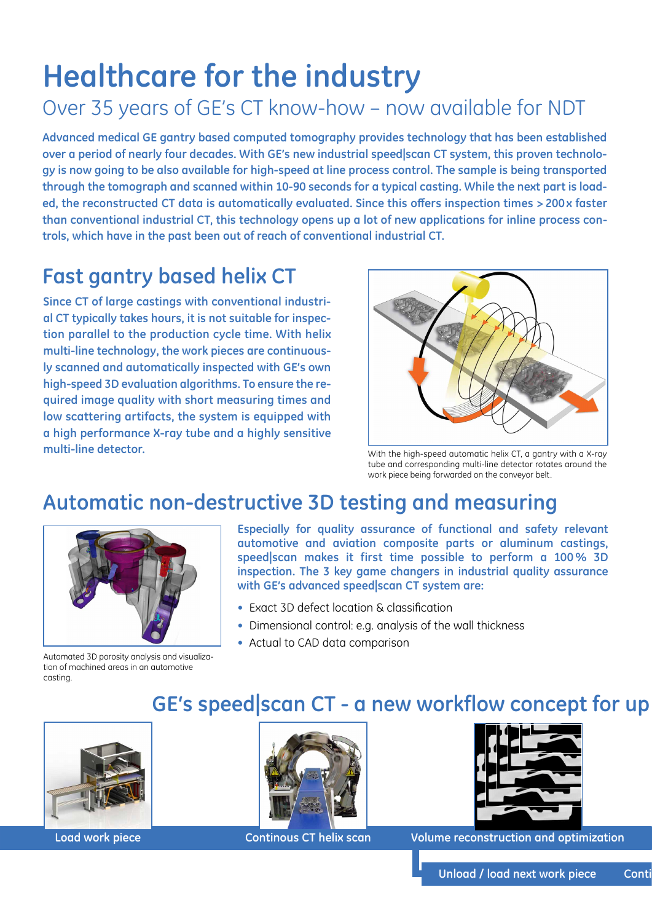# **Healthcare for the industry**

# Over 35 years of GE's CT know-how – now available for NDT

**Advanced medical GE gantry based computed tomography provides technology that has been established over a period of nearly four decades. With GE's new industrial speed|scan CT system, this proven technology is now going to be also available for high-speed at line process control. The sample is being transported through the tomograph and scanned within 10-90 seconds for a typical casting. While the next part is loaded, the reconstructed CT data is automatically evaluated. Since this offers inspection times >200 x faster than conventional industrial CT, this technology opens up a lot of new applications for inline process controls, which have in the past been out of reach of conventional industrial CT.** 

# **Fast gantry based helix CT**

**Since CT of large castings with conventional industrial CT typically takes hours, it is not suitable for inspection parallel to the production cycle time. With helix multi-line technology, the work pieces are continuously scanned and automatically inspected with GE's own high-speed 3D evaluation algorithms. To ensure the required image quality with short measuring times and low scattering artifacts, the system is equipped with a high performance X-ray tube and a highly sensitive multi-line detector. with the high-speed automatic helix CT, a gantry with a X-ray** 



tube and corresponding multi-line detector rotates around the work piece being forwarded on the conveyor belt.

# **Automatic non-destructive 3D testing and measuring**



**Especially for quality assurance of functional and safety relevant automotive and aviation composite parts or aluminum castings, speed|scan makes it first time possible to perform a 100% 3D inspection. The 3 key game changers in industrial quality assurance with GE's advanced speed|scan CT system are:**

- Exact 3D defect location & classification
- Dimensional control: e.g. analysis of the wall thickness
- Actual to CAD data comparison

Automated 3D porosity analysis and visualization of machined areas in an automotive casting.

## **GE's speed|scan CT - a new workflow concept for up**







**Load work piece Continous CT helix scan Volume reconstruction and optimization**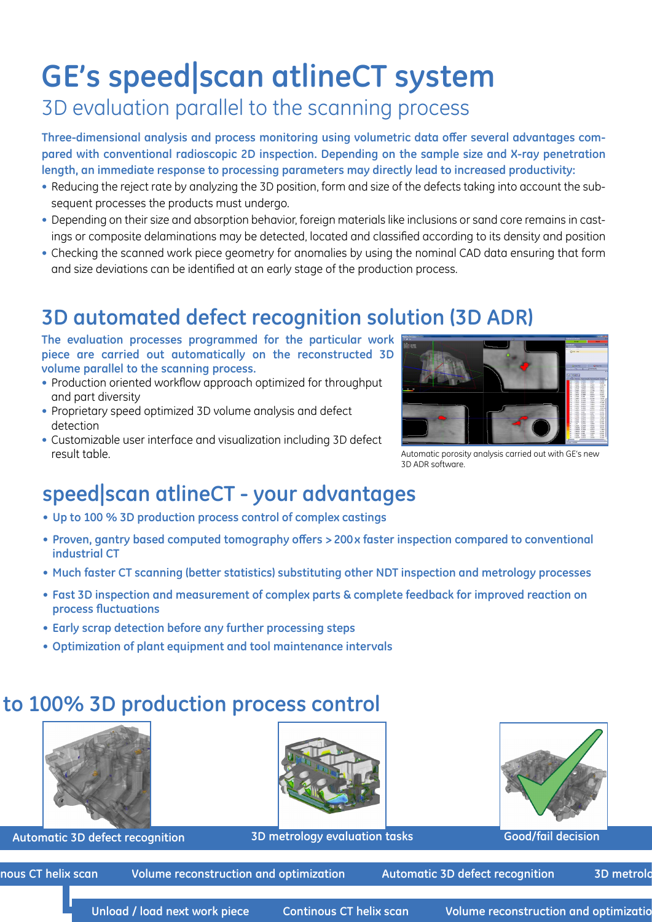# **GE's speed|scan atlineCT system**

# 3D evaluation parallel to the scanning process

**Three-dimensional analysis and process monitoring using volumetric data offer several advantages compared with conventional radioscopic 2D inspection. Depending on the sample size and X-ray penetration length, an immediate response to processing parameters may directly lead to increased productivity:**

- Reducing the reject rate by analyzing the 3D position, form and size of the defects taking into account the subsequent processes the products must undergo.
- Depending on their size and absorption behavior, foreign materials like inclusions or sand core remains in castings or composite delaminations may be detected, located and classified according to its density and position
- Checking the scanned work piece geometry for anomalies by using the nominal CAD data ensuring that form and size deviations can be identified at an early stage of the production process.

# **3D automated defect recognition solution (3D ADR)**

**The evaluation processes programmed for the particular work piece are carried out automatically on the reconstructed 3D volume parallel to the scanning process.** 

- Production oriented workflow approach optimized for throughput and part diversity
- Proprietary speed optimized 3D volume analysis and defect detection
- Customizable user interface and visualization including 3D defect result table.



Automatic porosity analysis carried out with GE's new 3D ADR software.

# **speed|scan atlineCT - your advantages**

- **• Up to 100 % 3D production process control of complex castings**
- **• Proven, gantry based computed tomography offers >200x faster inspection compared to conventional industrial CT**
- **• Much faster CT scanning (better statistics) substituting other NDT inspection and metrology processes**
- **• Fast 3D inspection and measurement of complex parts & complete feedback for improved reaction on process fluctuations**
- **• Early scrap detection before any further processing steps**
- **• Optimization of plant equipment and tool maintenance intervals**

## to 100% 3D production process control





**Automatic 3D defect recognition 3D metrology evaluation tasks Good/fail decision**



nous CT helix scan *Volume reconstruction and optimization* Automatic 3D defect recognition 3D metrology and and optimization and automatic 3D metrology and and and and the set of the set of the set of the set of the set o

Unload / load next work piece continous CT helix scan Volume reconstruction and optimization